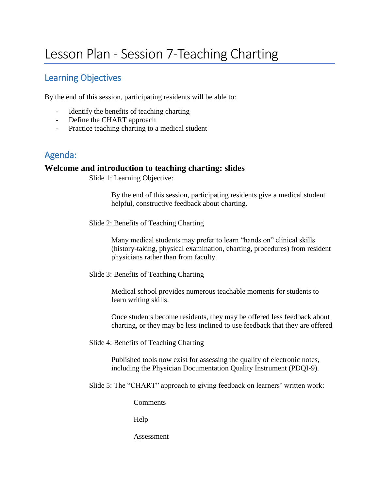# Lesson Plan - Session 7-Teaching Charting

# Learning Objectives

By the end of this session, participating residents will be able to:

- Identify the benefits of teaching charting
- Define the CHART approach
- Practice teaching charting to a medical student

# Agenda:

### **Welcome and introduction to teaching charting: slides**

Slide 1: Learning Objective:

By the end of this session, participating residents give a medical student helpful, constructive feedback about charting.

Slide 2: Benefits of Teaching Charting

Many medical students may prefer to learn "hands on" clinical skills (history-taking, physical examination, charting, procedures) from resident physicians rather than from faculty.

Slide 3: Benefits of Teaching Charting

Medical school provides numerous teachable moments for students to learn writing skills.

Once students become residents, they may be offered less feedback about charting, or they may be less inclined to use feedback that they are offered

Slide 4: Benefits of Teaching Charting

Published tools now exist for assessing the quality of electronic notes, including the Physician Documentation Quality Instrument (PDQI-9).

Slide 5: The "CHART" approach to giving feedback on learners' written work:

**Comments** 

Help

Assessment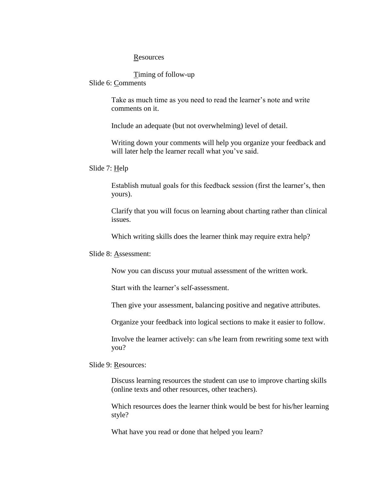#### **Resources**

#### Timing of follow-up

#### Slide 6: Comments

Take as much time as you need to read the learner's note and write comments on it.

Include an adequate (but not overwhelming) level of detail.

Writing down your comments will help you organize your feedback and will later help the learner recall what you've said.

#### Slide 7: Help

Establish mutual goals for this feedback session (first the learner's, then yours).

Clarify that you will focus on learning about charting rather than clinical issues.

Which writing skills does the learner think may require extra help?

#### Slide 8: Assessment:

Now you can discuss your mutual assessment of the written work.

Start with the learner's self-assessment.

Then give your assessment, balancing positive and negative attributes.

Organize your feedback into logical sections to make it easier to follow.

Involve the learner actively: can s/he learn from rewriting some text with you?

Slide 9: Resources:

Discuss learning resources the student can use to improve charting skills (online texts and other resources, other teachers).

Which resources does the learner think would be best for his/her learning style?

What have you read or done that helped you learn?